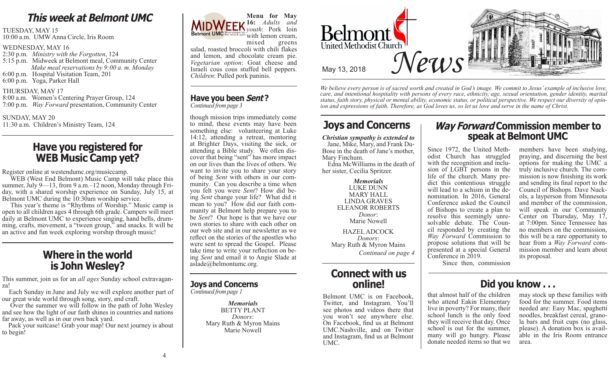# **This week at Belmont UMC**

TUESDAY, MAY 15

10:00 a.m. UMW Anna Circle, Iris Room

#### WEDNESDAY, MAY 16

2:30 p.m. *Ministry with the Forgotten*, 124 5:15 p.m. Midweek at Belmont meal, Community Center *Make meal reservations by 9:00 a. m. Monday* 6:00 p.m. Hospital Visitation Team, 201 6:00 p.m. Yoga, Parker Hall

#### THURSDAY, MAY 17

8:00 a.m. Women's Centering Prayer Group, 124 7:00 p.m. *Way Forward* presentation, Community Center

SUNDAY, MAY 20

11:30 a.m. Children's Ministry Team, 124

# **Have you registered for WEB Music Camp yet?**

Register online at westendumc.org/musiccamp.

WEB (West End Belmont) Music Camp will take place this summer, July 9—13, from 9 a.m.–12 noon, Monday through Friday, with a shared worship experience on Sunday, July 15, at Belmont UMC during the 10:30am worship service.

 This year's theme is "Rhythms of Worship." Music camp is open to all children ages 4 through 6th grade. Campers will meet ming, crafts, movement, a "tween group," and snacks. It will be an active and fun week exploring worship through music!

# **Where in the world is John Wesley?**

This summer, join us for an *all ages* Sunday school extravaganza!

 Each Sunday in June and July we will explore another part of our great wide world through song, story, and craft.

 Over the summer we will follow in the path of John Wesley and see how the light of our faith shines in countries and nations far away, as well as in our own back yard.

 Pack your suitcase! Grab your map! Our next journey is about to begin!

**Menu for May 16:** *Adults and youth*: Pork loin Belmont UMC the mind & spirit with lemon cream,<br>mixed greens greens salad, roasted broccoli with chili flakes and lemon, and chocolate cream pie. *Vegetarian option*: Goat cheese and Israeli cous cous stuffed bell peppers. *Children*: Pulled pork paninis.

### **Have you been Sent ?** *Continued from page 3*

though mission trips immediately come to mind, these events may have been something else: volunteering at Luke 14:12, attending a retreat, mentoring at Brighter Days, visiting the sick, or cover that being "sent" has more impact on our lives than the lives of others. We want to invite you to share your story of being *Sent* with others in our community. Can you describe a time when you felt you were *Sent*? How did being *Sent* change your life? What did it mean to you? How did our faith community at Belmont help prepare you to be *Sent*? Our hope is that we have our own stories to share with each other on our web site and in our newsletter as we reflect on the stories of the apostles who were sent to spread the Gospel. Please take time to write your reflection on being *Sent* and email it to Angie Slade at aslade@belmontumc.org.

# **Joys and Concerns**

*Continued from page 1*

*Memorials* BETTY PLANT *Donors*: Mary Ruth & Myron Mains Marie Nowell



*We believe every person is of sacred worth and created in God's image. We commit to Jesus' example of inclusive love, care, and intentional hospitality with persons of every race, ethnicity, age, sexual orientation, gender identity, marital status, faith story, physical or mental ability, economic status, or political perspective. We respect our diversity of opinion and expressions of faith. Therefore, as God loves us, so let us love and serve in the name of Christ.*

# **Joys and Concerns**

*Christian sympathy is extended to* Jane, Mike, Mary, and Frank Du-Bose in the death of Jane's mother, Mary Finchum.

 Edna McWilliams in the death of her sister, Cecilia Spritzer.

*Memorials* LUKE DUNN MARY HALL LINDA GRAVES ELEANOR ROBERTS *Donor*: Marie Nowell HAZEL ADCOCK *Donors*: Mary Ruth & Myron Mains

*Continued on page 4*

# **Connect with us online!**

Belmont UMC is on Facebook, Twitter, and Instagram. You'll see photos and videos there that you won't see anywhere else. On Facebook, find us at Belmont UMC.Nashville, and on Twitter and Instagram, find us at Belmont UMC.

# **Way Forward Commission member to speak at Belmont UMC**

Since 1972, the United Meth-<br>odist Church has struggled with the recognition and inclusion of LGBT persons in the life of the church. Many predict this contentious struggle will lead to a schism in the denomination. In 2016, General Conference asked the Council of Bishops to create a plan to resolve this seemingly unresolvable debate. The Council responded by creating the *Way Forward* Commission to propose solutions that will be presented at a special General Conference in 2019.

members have been studying, praying, and discerning the best options for making the UMC a mission is now finishing its work. and sending its final report to the<br>Council of Bishops. Dave Nuckols, a layperson from Minnesota and member of the commission, will speak in our Community Center on Thursday, May 17, at 7:00pm. Since Tennessee has no members on the commission, this will be a rare opportunity to hear from a *Way Forward* commission member and learn about its proposal.

Since then, commission

# **Did you know . . .**

that almost half of the children who attend Eakin Elementary live in poverty? For many, their school lunch is the only food they will receive that day. Once school is out for the summer, many will go hungry. Please donate needed items so that we

may stock up these families with food for the summer. Food items needed are: Easy Mac, spaghetti noodles, breakfast cereal, granola bars and fruit cups (no glass, please). A donation box is avail- able in the Iris Room entrance area.